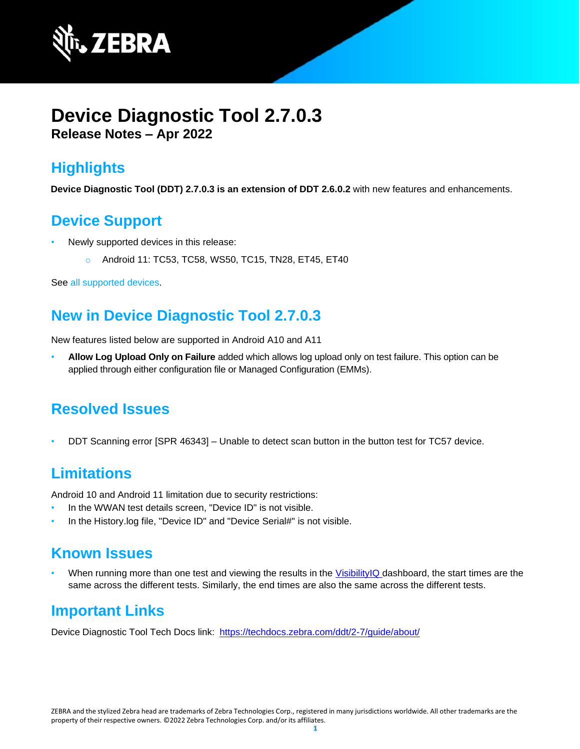

# **Device Diagnostic Tool 2.7.0.3 Release Notes – Apr 2022**

# **Highlights**

**Device Diagnostic Tool (DDT) 2.7.0.3 is an extension of DDT 2.6.0.2** with new features and enhancements.

### **Device Support**

- Newly supported devices in this release:
	- o Android 11: TC53, TC58, WS50, TC15, TN28, ET45, ET40

See all [supported](https://www.zebra.com/us/en/support-downloads/software/utilities/device-diagnostic-tool.html) devices.

## **New in Device Diagnostic Tool 2.7.0.3**

New features listed below are supported in Android A10 and A11

• **Allow Log Upload Only on Failure** added which allows log upload only on test failure. This option can be applied through either configuration file or Managed Configuration (EMMs).

## **Resolved Issues**

• DDT Scanning error [SPR 46343] – Unable to detect scan button in the button test for TC57 device.

## **Limitations**

Android 10 and Android 11 limitation due to security restrictions:

- In the WWAN test details screen, "Device ID" is not visible.
- In the History.log file, "Device ID" and "Device Serial#" is not visible.

### **Known Issues**

When running more than one test and viewing the results in the [VisibilityIQ](https://www.zebra.com/us/en/services/visibilityiq.html) dashboard, the start times are the same across the different tests. Similarly, the end times are also the same across the different tests.

### **Important Links**

Device Diagnostic Tool Tech Docs link: <https://techdocs.zebra.com/ddt/2-7/guide/about/>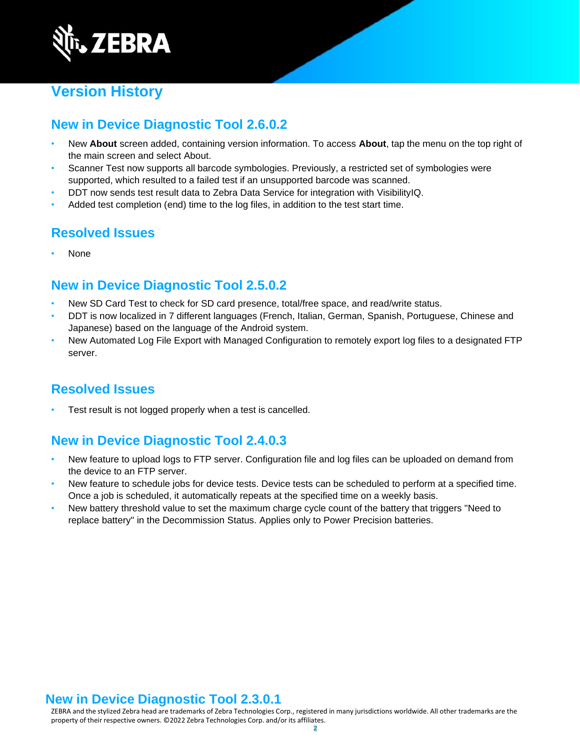

# **Version History**

#### **New in Device Diagnostic Tool 2.6.0.2**

- New **About** screen added, containing version information. To access **About**, tap the menu on the top right of the main screen and select About.
- [Scanner](https://techdocs.zebra.com/ddt/2-6/guide/usage/#scannertest) Test now supports all barcode symbologies. Previously, a restricted set of symbologies were supported, which resulted to a failed test if an unsupported barcode was scanned.
- DDT now sends test result data to Zebra Data [Service](https://techdocs.zebra.com/zds) for integration with [VisibilityIQ.](https://www.zebra.com/us/en/services/visibilityiq.html)
- Added test completion (end) time to the log files, in addition to the test start time.

#### **Resolved Issues**

• None

#### **New in Device Diagnostic Tool 2.5.0.2**

- New SD [Card Test](http://zebra-stage.github.io/ddt/2-5/guide/usage/#devicetests) to check for SD card presence, total/free space, and read/write status.
- DDT is now localized in 7 different languages (French, Italian, German, Spanish, Portuguese, Chinese and Japanese) based on the language of the Android system.
- New Automated Log File Export with [Managed Configuration](http://zebra-stage.github.io/ddt/2-5/guide/managed-config) to remotely export log files to a designated FTP server.

#### **Resolved Issues**

Test result is not logged properly when a test is cancelled.

#### **New in Device Diagnostic Tool 2.4.0.3**

- New feature to upload logs to FTP server. Configuration file and log files can be uploaded on demand from the device to an FTP server.
- New feature to schedule jobs for device tests. Device tests can be scheduled to perform at a specified time. Once a job is scheduled, it automatically repeats at the specified time on a weekly basis.
- New battery threshold value to set the maximum charge cycle count of the battery that triggers "Need to replace battery" in the Decommission Status. Applies only to Power Precision batteries.

#### **New in Device Diagnostic Tool 2.3.0.1**

ZEBRA and the stylized Zebra head are trademarks of Zebra Technologies Corp., registered in many jurisdictions worldwide. All other trademarks are the property of their respective owners. ©2022 Zebra Technologies Corp. and/or its affiliates.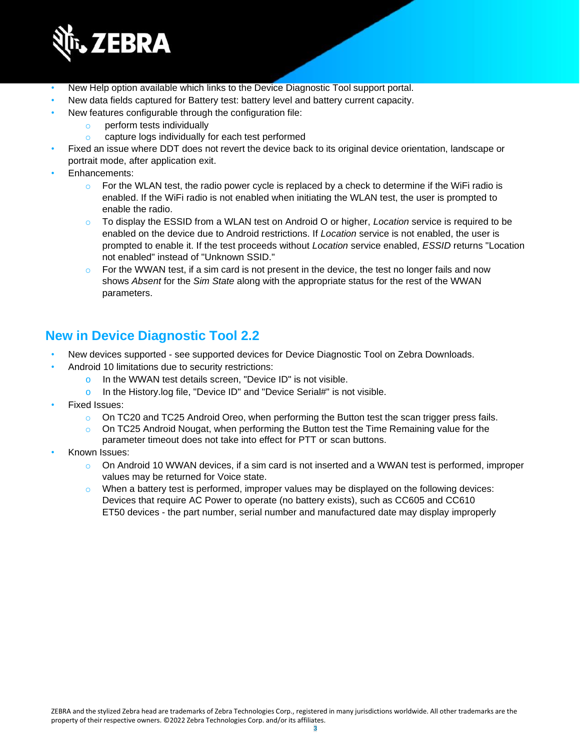

- New [Help](https://techdocs.zebra.com/ddt/2-3/guide/usage/#userinterface) option available which links to the Device Diagnostic Tool support portal.
- New data fields captured for [Battery](https://techdocs.zebra.com/ddt/2-3/guide/usage/#batterytest) test: battery level and battery current capacity.
- New features configurable through the configuration file:
	- o perform tests [individually](https://techdocs.zebra.com/ddt/2-3/guide/configuration/#configurationfile)
	- capture [logs individually f](https://techdocs.zebra.com/ddt/2-3/guide/configuration/#configurationfile)or each test performed
- Fixed an issue where DDT does not revert the device back to its original device orientation, landscape or portrait mode, after application exit.
- [Enhancements:](https://techdocs.zebra.com/ddt/2-3/guide/usage/#userinterface)
	- $\circ$  For the WLAN test, the radio power cycle is replaced by a check to determine if the WiFi radio is enabled. If the WiFi radio is not enabled when initiating the WLAN test, the user is prompted to enable the radio.
	- o To display the ESSID from a WLAN test on Android O or higher, *Location* service is required to be enabled on the device due to Android restrictions. If *Location* service is not enabled, the user is prompted to enable it. If the test proceeds without *Location* service enabled, *ESSID* returns "Location not enabled" instead of "Unknown SSID."
	- $\circ$  For the WWAN test, if a sim card is not present in the device, the test no longer fails and now shows *Absent* for the *Sim State* along with the appropriate status for the rest of the WWAN parameters.

#### **New in Device Diagnostic Tool 2.2**

- New devices supported see supported devices for Device Diagnostic Tool on Zebra [Downloads.](https://www.zebra.com/us/en/support-downloads/software/utilities/device-diagnostic-tool.html)
- Android 10 limitations due to security restrictions:
	- o In the WWAN test details screen, "Device ID" is not visible.
	- o In the History.log file, "Device ID" and "Device Serial#" is not visible.
- Fixed Issues:
	- $\circ$  On TC20 and TC25 Android Oreo, when performing the Button test the scan trigger press fails.
	- $\circ$  On TC25 Android Nougat, when performing the Button test the Time Remaining value for the parameter timeout does not take into effect for PTT or scan buttons.
- Known Issues:
	- $\circ$  On Android 10 WWAN devices, if a sim card is not inserted and a WWAN test is performed, improper values may be returned for Voice state.
	- $\circ$  When a battery test is performed, improper values may be displayed on the following devices: Devices that require AC Power to operate (no battery exists), such as CC605 and CC610 ET50 devices - the part number, serial number and manufactured date may display improperly